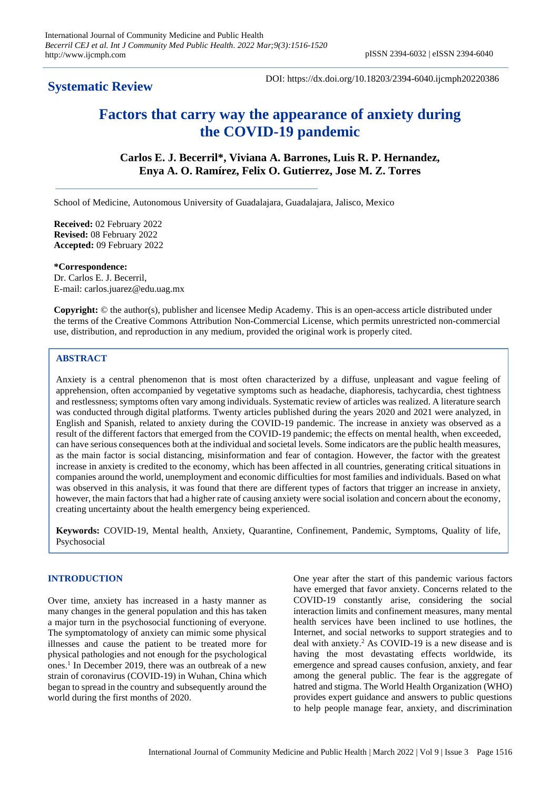# **Systematic Review**

DOI: https://dx.doi.org/10.18203/2394-6040.ijcmph20220386

# **Factors that carry way the appearance of anxiety during the COVID-19 pandemic**

**Carlos E. J. Becerril\*, Viviana A. Barrones, Luis R. P. Hernandez, Enya A. O. Ramírez, Felix O. Gutierrez, Jose M. Z. Torres**

School of Medicine, Autonomous University of Guadalajara, Guadalajara, Jalisco, Mexico

**Received:** 02 February 2022 **Revised:** 08 February 2022 **Accepted:** 09 February 2022

**\*Correspondence:** Dr. Carlos E. J. Becerril, E-mail: carlos.juarez@edu.uag.mx

**Copyright:** © the author(s), publisher and licensee Medip Academy. This is an open-access article distributed under the terms of the Creative Commons Attribution Non-Commercial License, which permits unrestricted non-commercial use, distribution, and reproduction in any medium, provided the original work is properly cited.

# **ABSTRACT**

Anxiety is a central phenomenon that is most often characterized by a diffuse, unpleasant and vague feeling of apprehension, often accompanied by vegetative symptoms such as headache, diaphoresis, tachycardia, chest tightness and restlessness; symptoms often vary among individuals. Systematic review of articles was realized. A literature search was conducted through digital platforms. Twenty articles published during the years 2020 and 2021 were analyzed, in English and Spanish, related to anxiety during the COVID-19 pandemic. The increase in anxiety was observed as a result of the different factors that emerged from the COVID-19 pandemic; the effects on mental health, when exceeded, can have serious consequences both at the individual and societal levels. Some indicators are the public health measures, as the main factor is social distancing, misinformation and fear of contagion. However, the factor with the greatest increase in anxiety is credited to the economy, which has been affected in all countries, generating critical situations in companies around the world, unemployment and economic difficulties for most families and individuals. Based on what was observed in this analysis, it was found that there are different types of factors that trigger an increase in anxiety, however, the main factors that had a higher rate of causing anxiety were social isolation and concern about the economy, creating uncertainty about the health emergency being experienced.

**Keywords:** COVID-19, Mental health, Anxiety, Quarantine, Confinement, Pandemic, Symptoms, Quality of life, Psychosocial

# **INTRODUCTION**

Over time, anxiety has increased in a hasty manner as many changes in the general population and this has taken a major turn in the psychosocial functioning of everyone. The symptomatology of anxiety can mimic some physical illnesses and cause the patient to be treated more for physical pathologies and not enough for the psychological ones.<sup>1</sup> In December 2019, there was an outbreak of a new strain of coronavirus (COVID-19) in Wuhan, China which began to spread in the country and subsequently around the world during the first months of 2020.

One year after the start of this pandemic various factors have emerged that favor anxiety. Concerns related to the COVID-19 constantly arise, considering the social interaction limits and confinement measures, many mental health services have been inclined to use hotlines, the Internet, and social networks to support strategies and to deal with anxiety. <sup>2</sup> As COVID-19 is a new disease and is having the most devastating effects worldwide, its emergence and spread causes confusion, anxiety, and fear among the general public. The fear is the aggregate of hatred and stigma. The World Health Organization (WHO) provides expert guidance and answers to public questions to help people manage fear, anxiety, and discrimination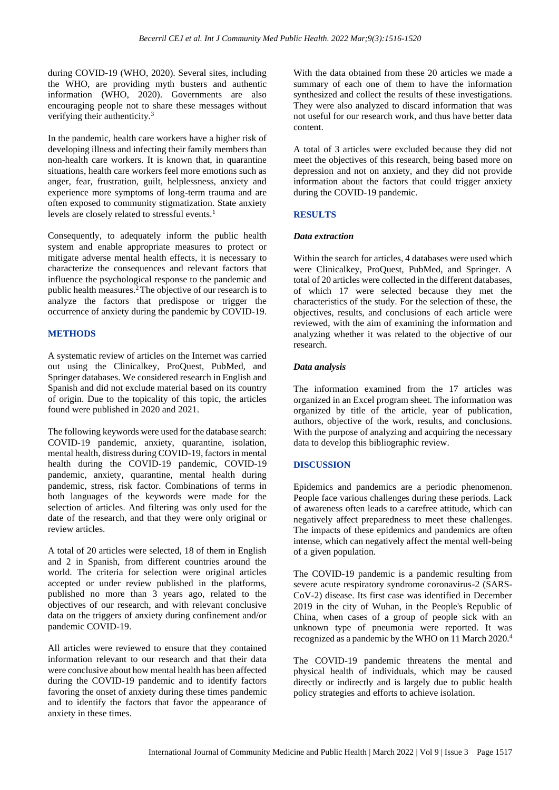during COVID-19 (WHO, 2020). Several sites, including the WHO, are providing myth busters and authentic information (WHO, 2020). Governments are also encouraging people not to share these messages without verifying their authenticity.<sup>3</sup>

In the pandemic, health care workers have a higher risk of developing illness and infecting their family members than non-health care workers. It is known that, in quarantine situations, health care workers feel more emotions such as anger, fear, frustration, guilt, helplessness, anxiety and experience more symptoms of long-term trauma and are often exposed to community stigmatization. State anxiety levels are closely related to stressful events.<sup>1</sup>

Consequently, to adequately inform the public health system and enable appropriate measures to protect or mitigate adverse mental health effects, it is necessary to characterize the consequences and relevant factors that influence the psychological response to the pandemic and public health measures.<sup>2</sup>The objective of our research is to analyze the factors that predispose or trigger the occurrence of anxiety during the pandemic by COVID-19.

# **METHODS**

A systematic review of articles on the Internet was carried out using the Clinicalkey, ProQuest, PubMed, and Springer databases. We considered research in English and Spanish and did not exclude material based on its country of origin. Due to the topicality of this topic, the articles found were published in 2020 and 2021.

The following keywords were used for the database search: COVID-19 pandemic, anxiety, quarantine, isolation, mental health, distress during COVID-19, factors in mental health during the COVID-19 pandemic, COVID-19 pandemic, anxiety, quarantine, mental health during pandemic, stress, risk factor. Combinations of terms in both languages of the keywords were made for the selection of articles. And filtering was only used for the date of the research, and that they were only original or review articles.

A total of 20 articles were selected, 18 of them in English and 2 in Spanish, from different countries around the world. The criteria for selection were original articles accepted or under review published in the platforms, published no more than 3 years ago, related to the objectives of our research, and with relevant conclusive data on the triggers of anxiety during confinement and/or pandemic COVID-19.

All articles were reviewed to ensure that they contained information relevant to our research and that their data were conclusive about how mental health has been affected during the COVID-19 pandemic and to identify factors favoring the onset of anxiety during these times pandemic and to identify the factors that favor the appearance of anxiety in these times.

With the data obtained from these 20 articles we made a summary of each one of them to have the information synthesized and collect the results of these investigations. They were also analyzed to discard information that was not useful for our research work, and thus have better data content.

A total of 3 articles were excluded because they did not meet the objectives of this research, being based more on depression and not on anxiety, and they did not provide information about the factors that could trigger anxiety during the COVID-19 pandemic.

# **RESULTS**

#### *Data extraction*

Within the search for articles, 4 databases were used which were Clinicalkey, ProQuest, PubMed, and Springer. A total of 20 articles were collected in the different databases, of which 17 were selected because they met the characteristics of the study. For the selection of these, the objectives, results, and conclusions of each article were reviewed, with the aim of examining the information and analyzing whether it was related to the objective of our research.

# *Data analysis*

The information examined from the 17 articles was organized in an Excel program sheet. The information was organized by title of the article, year of publication, authors, objective of the work, results, and conclusions. With the purpose of analyzing and acquiring the necessary data to develop this bibliographic review.

# **DISCUSSION**

Epidemics and pandemics are a periodic phenomenon. People face various challenges during these periods. Lack of awareness often leads to a carefree attitude, which can negatively affect preparedness to meet these challenges. The impacts of these epidemics and pandemics are often intense, which can negatively affect the mental well-being of a given population.

The COVID-19 pandemic is a pandemic resulting from severe acute respiratory syndrome coronavirus-2 (SARS-CoV-2) disease. Its first case was identified in December 2019 in the city of Wuhan, in the People's Republic of China, when cases of a group of people sick with an unknown type of pneumonia were reported. It was recognized as a pandemic by the WHO on 11 March 2020.<sup>4</sup>

The COVID-19 pandemic threatens the mental and physical health of individuals, which may be caused directly or indirectly and is largely due to public health policy strategies and efforts to achieve isolation.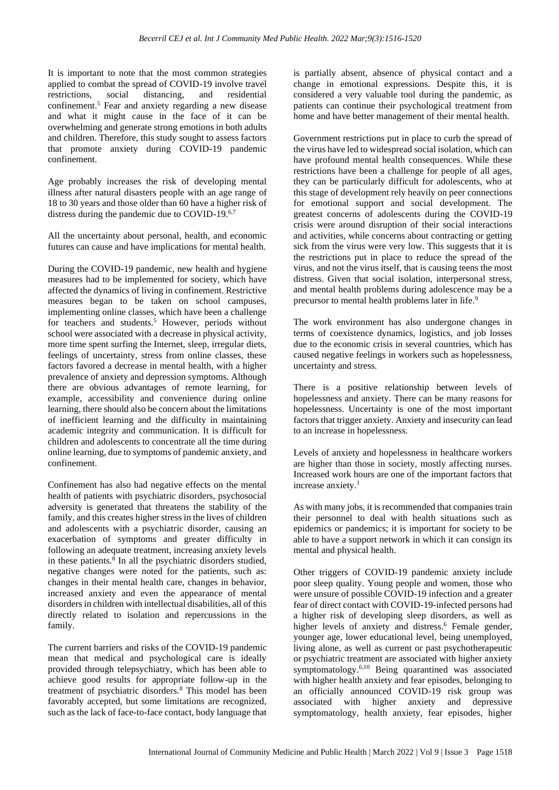It is important to note that the most common strategies applied to combat the spread of COVID-19 involve travel restrictions, social distancing, and residential confinement. <sup>5</sup> Fear and anxiety regarding a new disease and what it might cause in the face of it can be overwhelming and generate strong emotions in both adults and children. Therefore, this study sought to assess factors that promote anxiety during COVID-19 pandemic confinement.

Age probably increases the risk of developing mental illness after natural disasters people with an age range of 18 to 30 years and those older than 60 have a higher risk of distress during the pandemic due to COVID-19.6,7

All the uncertainty about personal, health, and economic futures can cause and have implications for mental health.

During the COVID-19 pandemic, new health and hygiene measures had to be implemented for society, which have affected the dynamics of living in confinement. Restrictive measures began to be taken on school campuses, implementing online classes, which have been a challenge for teachers and students.<sup>5</sup> However, periods without school were associated with a decrease in physical activity, more time spent surfing the Internet, sleep, irregular diets, feelings of uncertainty, stress from online classes, these factors favored a decrease in mental health, with a higher prevalence of anxiety and depression symptoms. Although there are obvious advantages of remote learning, for example, accessibility and convenience during online learning, there should also be concern about the limitations of inefficient learning and the difficulty in maintaining academic integrity and communication. It is difficult for children and adolescents to concentrate all the time during online learning, due to symptoms of pandemic anxiety, and confinement.

Confinement has also had negative effects on the mental health of patients with psychiatric disorders, psychosocial adversity is generated that threatens the stability of the family, and this creates higher stress in the lives of children and adolescents with a psychiatric disorder, causing an exacerbation of symptoms and greater difficulty in following an adequate treatment, increasing anxiety levels in these patients.<sup>8</sup> In all the psychiatric disorders studied, negative changes were noted for the patients, such as: changes in their mental health care, changes in behavior, increased anxiety and even the appearance of mental disorders in children with intellectual disabilities, all of this directly related to isolation and repercussions in the family.

The current barriers and risks of the COVID-19 pandemic mean that medical and psychological care is ideally provided through telepsychiatry, which has been able to achieve good results for appropriate follow-up in the treatment of psychiatric disorders.<sup>8</sup> This model has been favorably accepted, but some limitations are recognized, such as the lack of face-to-face contact, body language that is partially absent, absence of physical contact and a change in emotional expressions. Despite this, it is considered a very valuable tool during the pandemic, as patients can continue their psychological treatment from home and have better management of their mental health.

Government restrictions put in place to curb the spread of the virus have led to widespread social isolation, which can have profound mental health consequences. While these restrictions have been a challenge for people of all ages, they can be particularly difficult for adolescents, who at this stage of development rely heavily on peer connections for emotional support and social development. The greatest concerns of adolescents during the COVID-19 crisis were around disruption of their social interactions and activities, while concerns about contracting or getting sick from the virus were very low. This suggests that it is the restrictions put in place to reduce the spread of the virus, and not the virus itself, that is causing teens the most distress. Given that social isolation, interpersonal stress, and mental health problems during adolescence may be a precursor to mental health problems later in life.<sup>9</sup>

The work environment has also undergone changes in terms of coexistence dynamics, logistics, and job losses due to the economic crisis in several countries, which has caused negative feelings in workers such as hopelessness, uncertainty and stress.

There is a positive relationship between levels of hopelessness and anxiety. There can be many reasons for hopelessness. Uncertainty is one of the most important factors that trigger anxiety. Anxiety and insecurity can lead to an increase in hopelessness.

Levels of anxiety and hopelessness in healthcare workers are higher than those in society, mostly affecting nurses. Increased work hours are one of the important factors that increase anxiety.<sup>1</sup>

As with many jobs, it is recommended that companies train their personnel to deal with health situations such as epidemics or pandemics; it is important for society to be able to have a support network in which it can consign its mental and physical health.

Other triggers of COVID-19 pandemic anxiety include poor sleep quality. Young people and women, those who were unsure of possible COVID-19 infection and a greater fear of direct contact with COVID-19-infected persons had a higher risk of developing sleep disorders, as well as higher levels of anxiety and distress. <sup>6</sup> Female gender, younger age, lower educational level, being unemployed, living alone, as well as current or past psychotherapeutic or psychiatric treatment are associated with higher anxiety symptomatology.6,10 Being quarantined was associated with higher health anxiety and fear episodes, belonging to an officially announced COVID-19 risk group was associated with higher anxiety and depressive symptomatology, health anxiety, fear episodes, higher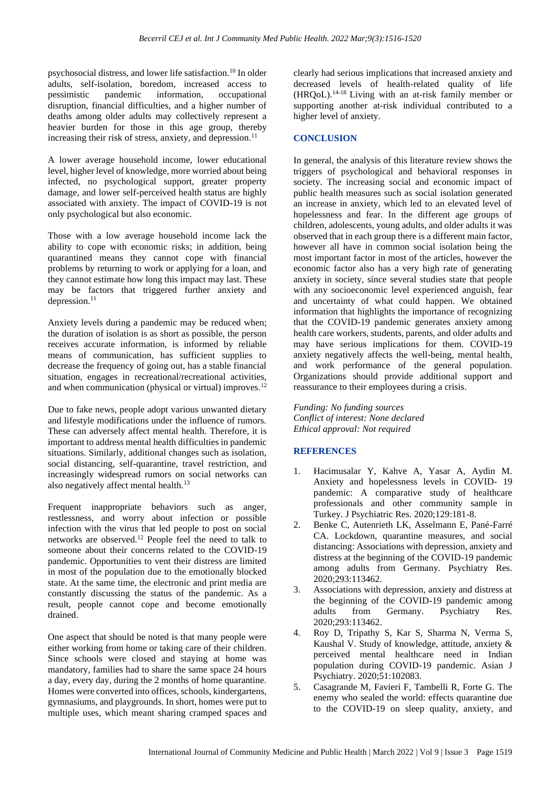psychosocial distress, and lower life satisfaction.<sup>10</sup> In older adults, self-isolation, boredom, increased access to pessimistic pandemic information, occupational disruption, financial difficulties, and a higher number of deaths among older adults may collectively represent a heavier burden for those in this age group, thereby increasing their risk of stress, anxiety, and depression.<sup>11</sup>

A lower average household income, lower educational level, higher level of knowledge, more worried about being infected, no psychological support, greater property damage, and lower self-perceived health status are highly associated with anxiety. The impact of COVID-19 is not only psychological but also economic.

Those with a low average household income lack the ability to cope with economic risks; in addition, being quarantined means they cannot cope with financial problems by returning to work or applying for a loan, and they cannot estimate how long this impact may last. These may be factors that triggered further anxiety and depression.<sup>11</sup>

Anxiety levels during a pandemic may be reduced when; the duration of isolation is as short as possible, the person receives accurate information, is informed by reliable means of communication, has sufficient supplies to decrease the frequency of going out, has a stable financial situation, engages in recreational/recreational activities, and when communication (physical or virtual) improves.<sup>12</sup>

Due to fake news, people adopt various unwanted dietary and lifestyle modifications under the influence of rumors. These can adversely affect mental health. Therefore, it is important to address mental health difficulties in pandemic situations. Similarly, additional changes such as isolation, social distancing, self-quarantine, travel restriction, and increasingly widespread rumors on social networks can also negatively affect mental health.<sup>13</sup>

Frequent inappropriate behaviors such as anger, restlessness, and worry about infection or possible infection with the virus that led people to post on social networks are observed.<sup>12</sup> People feel the need to talk to someone about their concerns related to the COVID-19 pandemic. Opportunities to vent their distress are limited in most of the population due to the emotionally blocked state. At the same time, the electronic and print media are constantly discussing the status of the pandemic. As a result, people cannot cope and become emotionally drained.

One aspect that should be noted is that many people were either working from home or taking care of their children. Since schools were closed and staying at home was mandatory, families had to share the same space 24 hours a day, every day, during the 2 months of home quarantine. Homes were converted into offices, schools, kindergartens, gymnasiums, and playgrounds. In short, homes were put to multiple uses, which meant sharing cramped spaces and clearly had serious implications that increased anxiety and decreased levels of health-related quality of life  $(HROoL)$ .<sup>14-18</sup> Living with an at-risk family member or supporting another at-risk individual contributed to a higher level of anxiety.

# **CONCLUSION**

In general, the analysis of this literature review shows the triggers of psychological and behavioral responses in society. The increasing social and economic impact of public health measures such as social isolation generated an increase in anxiety, which led to an elevated level of hopelessness and fear. In the different age groups of children, adolescents, young adults, and older adults it was observed that in each group there is a different main factor, however all have in common social isolation being the most important factor in most of the articles, however the economic factor also has a very high rate of generating anxiety in society, since several studies state that people with any socioeconomic level experienced anguish, fear and uncertainty of what could happen. We obtained information that highlights the importance of recognizing that the COVID-19 pandemic generates anxiety among health care workers, students, parents, and older adults and may have serious implications for them. COVID-19 anxiety negatively affects the well-being, mental health, and work performance of the general population. Organizations should provide additional support and reassurance to their employees during a crisis.

*Funding: No funding sources Conflict of interest: None declared Ethical approval: Not required*

# **REFERENCES**

- 1. Hacimusalar Y, Kahve A, Yasar A, Aydin M. Anxiety and hopelessness levels in COVID- 19 pandemic: A comparative study of healthcare professionals and other community sample in Turkey. J Psychiatric Res. 2020;129:181-8.
- 2. Benke C, Autenrieth LK, Asselmann E, Pané-Farré CA. Lockdown, quarantine measures, and social distancing: Associations with depression, anxiety and distress at the beginning of the COVID-19 pandemic among adults from Germany. Psychiatry Res. 2020;293:113462.
- 3. Associations with depression, anxiety and distress at the beginning of the COVID-19 pandemic among adults from Germany. Psychiatry Res. 2020;293:113462.
- 4. Roy D, Tripathy S, Kar S, Sharma N, Verma S, Kaushal V. Study of knowledge, attitude, anxiety & perceived mental healthcare need in Indian population during COVID-19 pandemic. Asian J Psychiatry. 2020;51:102083.
- 5. Casagrande M, Favieri F, Tambelli R, Forte G. The enemy who sealed the world: effects quarantine due to the COVID-19 on sleep quality, anxiety, and